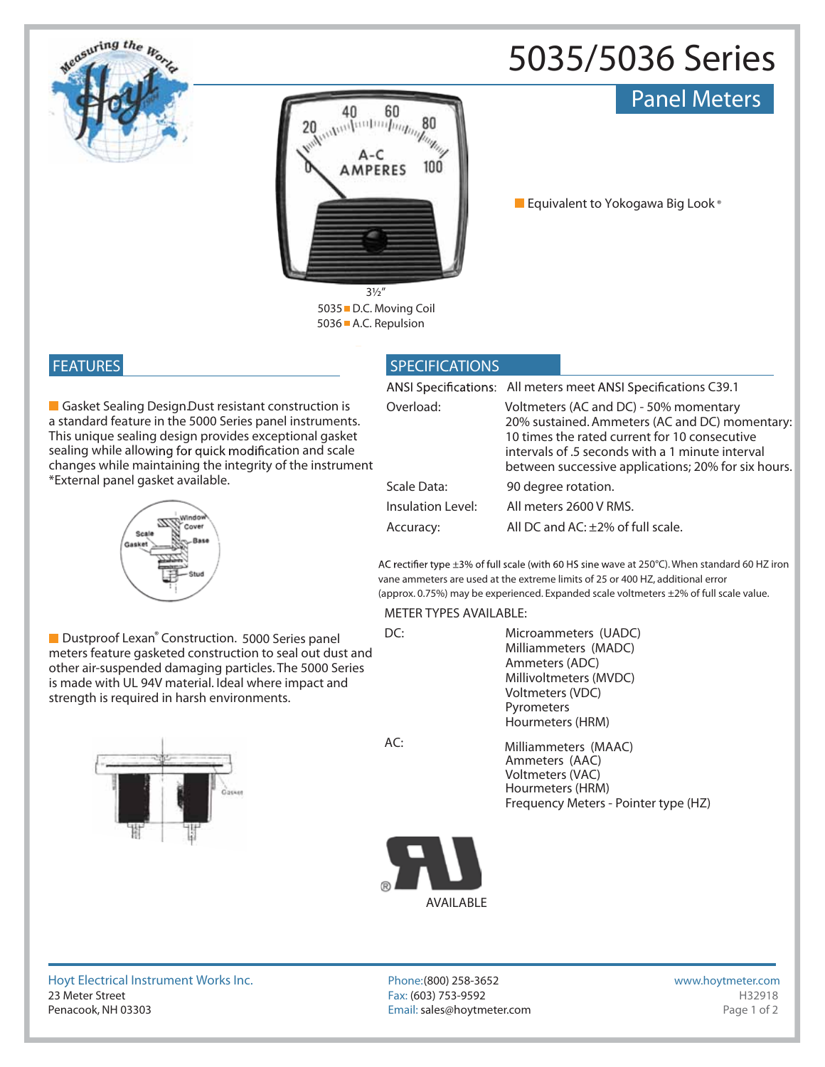# **5035/5036 Series**

### Panel Meters



**5036 A.C. Repulsion**

**Equivalent to Yokogawa Big Look ®**

## **FEATURES**

seasuring the H

**Gasket Sealing Design. Dust resistant construction is** a standard feature in the 5000 Series panel instruments. This unique sealing design provides exceptional gasket sealing while allowing for quick modification and scale changes while maintaining the integrity of the instrument \*External panel gasket available.



■ Dustproof Lexan<sup>®</sup> Construction. 5000 Series panel meters feature gasketed construction to seal out dust and other air-suspended damaging particles. The 5000 Series is made with UL 94V material. Ideal where impact and strength is required in harsh environments.



**AC:**

### **SPECIFICATIONS**

|                   | ANSI Specifications: All meters meet ANSI Specifications C39.1                                                                                                                                                                                       |
|-------------------|------------------------------------------------------------------------------------------------------------------------------------------------------------------------------------------------------------------------------------------------------|
| Overload:         | Voltmeters (AC and DC) - 50% momentary<br>20% sustained. Ammeters (AC and DC) momentary:<br>10 times the rated current for 10 consecutive<br>intervals of .5 seconds with a 1 minute interval<br>between successive applications; 20% for six hours. |
| Scale Data:       | 90 degree rotation.                                                                                                                                                                                                                                  |
| Insulation Level: | All meters 2600 V RMS.                                                                                                                                                                                                                               |
| Accuracy:         | All DC and AC: ±2% of full scale.                                                                                                                                                                                                                    |

AC rectifier type ±3% of full scale (with 60 HS sine wave at 250°C). When standard 60 HZ iron vane ammeters are used at the extreme limits of 25 or 400 HZ, additional error (approx. 0.75%) may be experienced. Expanded scale voltmeters ±2% of full scale value.

#### **METER TYPES AVAILABLE:**

**DC:** Microammeters (UADC) Milliammeters (MADC) Ammeters (ADC) Millivoltmeters (MVDC) Voltmeters (VDC) Pyrometers Hourmeters (HRM)

> Frequency Meters - Pointer type (HZ) Voltmeters (VAC) Ammeters (AAC) Hourmeters (HRM) Milliammeters (MAAC)